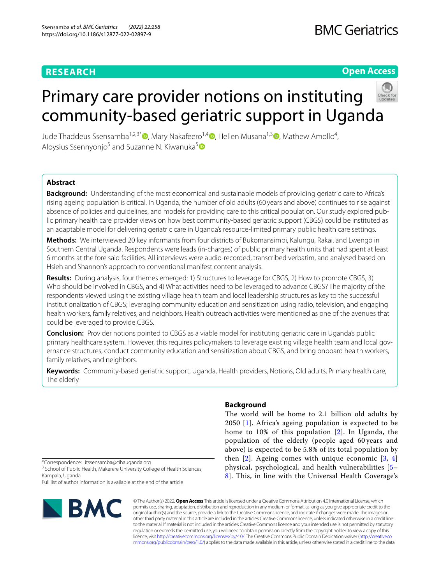## **RESEARCH**

### **Open Access**

# Primary care provider notions on instituting community-based geriatric support in Uganda

Jude Thaddeus Ssensamba<sup>1,2,3\*</sup>®[,](https://orcid.org/0000-0003-3939-4951) Mary Nakafeero<sup>1[,](https://orcid.org/0000-0003-0575-754X)4</sup>®, Hellen Musana<sup>1,3</sup>®, Mathew Amollo<sup>4</sup>, Aloysius Ssennyonjo<sup>[5](https://orcid.org/0000-0003-4729-4897)</sup> and Suzanne N. Kiwanuka<sup>5</sup>

#### **Abstract**

**Background:** Understanding of the most economical and sustainable models of providing geriatric care to Africa's rising ageing population is critical. In Uganda, the number of old adults (60 years and above) continues to rise against absence of policies and guidelines, and models for providing care to this critical population. Our study explored public primary health care provider views on how best community-based geriatric support (CBGS) could be instituted as an adaptable model for delivering geriatric care in Uganda's resource-limited primary public health care settings.

**Methods:** We interviewed 20 key informants from four districts of Bukomansimbi, Kalungu, Rakai, and Lwengo in Southern Central Uganda. Respondents were leads (in-charges) of public primary health units that had spent at least 6 months at the fore said facilities. All interviews were audio-recorded, transcribed verbatim, and analysed based on Hsieh and Shannon's approach to conventional manifest content analysis.

**Results:** During analysis, four themes emerged: 1) Structures to leverage for CBGS, 2) How to promote CBGS, 3) Who should be involved in CBGS, and 4) What activities need to be leveraged to advance CBGS? The majority of the respondents viewed using the existing village health team and local leadership structures as key to the successful institutionalization of CBGS; leveraging community education and sensitization using radio, television, and engaging health workers, family relatives, and neighbors. Health outreach activities were mentioned as one of the avenues that could be leveraged to provide CBGS.

**Conclusion:** Provider notions pointed to CBGS as a viable model for instituting geriatric care in Uganda's public primary healthcare system. However, this requires policymakers to leverage existing village health team and local governance structures, conduct community education and sensitization about CBGS, and bring onboard health workers, family relatives, and neighbors.

**Keywords:** Community-based geriatric support, Uganda, Health providers, Notions, Old adults, Primary health care, The elderly

\*Correspondence: Jtssensamba@cihauganda.org

<sup>3</sup> School of Public Health, Makerere University College of Health Sciences, Kampala, Uganda

Full list of author information is available at the end of the article



#### **Background**

The world will be home to 2.1 billion old adults by 2050 [\[1](#page-6-0)]. Africa's ageing population is expected to be home to 10% of this population [[2](#page-6-1)]. In Uganda, the population of the elderly (people aged 60 years and above) is expected to be 5.8% of its total population by then  $[2]$  $[2]$ . Ageing comes with unique economic  $[3, 4]$  $[3, 4]$  $[3, 4]$  $[3, 4]$  $[3, 4]$ physical, psychological, and health vulnerabilities [[5–](#page-6-4) [8\]](#page-6-5). This, in line with the Universal Health Coverage's

© The Author(s) 2022. **Open Access** This article is licensed under a Creative Commons Attribution 4.0 International License, which permits use, sharing, adaptation, distribution and reproduction in any medium or format, as long as you give appropriate credit to the original author(s) and the source, provide a link to the Creative Commons licence, and indicate if changes were made. The images or other third party material in this article are included in the article's Creative Commons licence, unless indicated otherwise in a credit line to the material. If material is not included in the article's Creative Commons licence and your intended use is not permitted by statutory regulation or exceeds the permitted use, you will need to obtain permission directly from the copyright holder. To view a copy of this licence, visit [http://creativecommons.org/licenses/by/4.0/.](http://creativecommons.org/licenses/by/4.0/) The Creative Commons Public Domain Dedication waiver ([http://creativeco](http://creativecommons.org/publicdomain/zero/1.0/) [mmons.org/publicdomain/zero/1.0/](http://creativecommons.org/publicdomain/zero/1.0/)) applies to the data made available in this article, unless otherwise stated in a credit line to the data.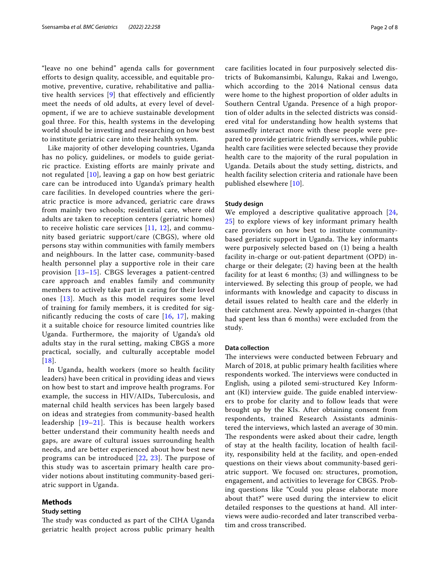"leave no one behind" agenda calls for government efforts to design quality, accessible, and equitable promotive, preventive, curative, rehabilitative and palliative health services [[9](#page-6-6)] that effectively and efficiently meet the needs of old adults, at every level of development, if we are to achieve sustainable development goal three. For this, health systems in the developing world should be investing and researching on how best to institute geriatric care into their health system.

Like majority of other developing countries, Uganda has no policy, guidelines, or models to guide geriatric practice. Existing efforts are mainly private and not regulated [[10](#page-6-7)], leaving a gap on how best geriatric care can be introduced into Uganda's primary health care facilities. In developed countries where the geriatric practice is more advanced, geriatric care draws from mainly two schools; residential care, where old adults are taken to reception centers (geriatric homes) to receive holistic care services  $[11, 12]$  $[11, 12]$  $[11, 12]$  $[11, 12]$  $[11, 12]$ , and community based geriatric support/care (CBGS), where old persons stay within communities with family members and neighbours. In the latter case, community-based health personnel play a supportive role in their care provision [[13–](#page-6-10)[15](#page-6-11)]. CBGS leverages a patient-centred care approach and enables family and community members to actively take part in caring for their loved ones [[13](#page-6-10)]. Much as this model requires some level of training for family members, it is credited for significantly reducing the costs of care  $[16, 17]$  $[16, 17]$  $[16, 17]$  $[16, 17]$  $[16, 17]$ , making it a suitable choice for resource limited countries like Uganda. Furthermore, the majority of Uganda's old adults stay in the rural setting, making CBGS a more practical, socially, and culturally acceptable model [[18](#page-6-14)].

In Uganda, health workers (more so health facility leaders) have been critical in providing ideas and views on how best to start and improve health programs. For example, the success in HIV/AIDs, Tuberculosis, and maternal child health services has been largely based on ideas and strategies from community-based health leadership [[19–](#page-6-15)[21](#page-6-16)]. This is because health workers better understand their community health needs and gaps, are aware of cultural issues surrounding health needs, and are better experienced about how best new programs can be introduced [\[22,](#page-6-17) [23\]](#page-6-18). The purpose of this study was to ascertain primary health care provider notions about instituting community-based geriatric support in Uganda.

#### **Methods**

#### **Study setting**

The study was conducted as part of the CIHA Uganda geriatric health project across public primary health care facilities located in four purposively selected districts of Bukomansimbi, Kalungu, Rakai and Lwengo, which according to the 2014 National census data were home to the highest proportion of older adults in Southern Central Uganda. Presence of a high proportion of older adults in the selected districts was considered vital for understanding how health systems that assumedly interact more with these people were prepared to provide geriatric friendly services, while public health care facilities were selected because they provide health care to the majority of the rural population in Uganda. Details about the study setting, districts, and health facility selection criteria and rationale have been published elsewhere [[10\]](#page-6-7).

#### **Study design**

We employed a descriptive qualitative approach [\[24](#page-6-19), [25\]](#page-6-20) to explore views of key informant primary health care providers on how best to institute communitybased geriatric support in Uganda. The key informants were purposively selected based on (1) being a health facility in-charge or out-patient department (OPD) incharge or their delegate; (2) having been at the health facility for at least 6 months; (3) and willingness to be interviewed. By selecting this group of people, we had informants with knowledge and capacity to discuss in detail issues related to health care and the elderly in their catchment area. Newly appointed in-charges (that had spent less than 6 months) were excluded from the study.

#### **Data collection**

The interviews were conducted between February and March of 2018, at public primary health facilities where respondents worked. The interviews were conducted in English, using a piloted semi-structured Key Informant  $(KI)$  interview guide. The guide enabled interviewers to probe for clarity and to follow leads that were brought up by the KIs. After obtaining consent from respondents, trained Research Assistants administered the interviews, which lasted an average of 30 min. The respondents were asked about their cadre, length of stay at the health facility, location of health facility, responsibility held at the facility, and open-ended questions on their views about community-based geriatric support. We focused on: structures, promotion, engagement, and activities to leverage for CBGS. Probing questions like "Could you please elaborate more about that?" were used during the interview to elicit detailed responses to the questions at hand. All interviews were audio-recorded and later transcribed verbatim and cross transcribed.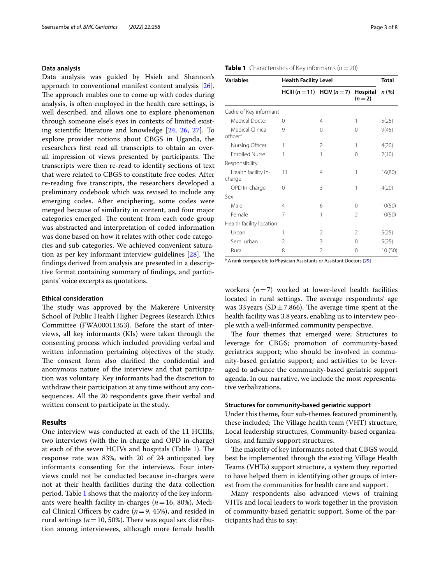#### **Data analysis**

Data analysis was guided by Hsieh and Shannon's approach to conventional manifest content analysis [\[26](#page-6-21)]. The approach enables one to come up with codes during analysis, is often employed in the health care settings, is well described, and allows one to explore phenomenon through someone else's eyes in contexts of limited existing scientifc literature and knowledge [[24](#page-6-19), [26,](#page-6-21) [27](#page-6-22)]. To explore provider notions about CBGS in Uganda, the researchers frst read all transcripts to obtain an overall impression of views presented by participants. The transcripts were then re-read to identify sections of text that were related to CBGS to constitute free codes. After re-reading fve transcripts, the researchers developed a preliminary codebook which was revised to include any emerging codes. After enciphering, some codes were merged because of similarity in content, and four major categories emerged. The content from each code group was abstracted and interpretation of coded information was done based on how it relates with other code categories and sub-categories. We achieved convenient saturation as per key informant interview guidelines  $[28]$  $[28]$  $[28]$ . The fndings derived from analysis are presented in a descriptive format containing summary of fndings, and participants' voice excerpts as quotations.

#### **Ethical consideration**

The study was approved by the Makerere University School of Public Health Higher Degrees Research Ethics Committee (FWA00011353). Before the start of interviews, all key informants (KIs) were taken through the consenting process which included providing verbal and written information pertaining objectives of the study. The consent form also clarified the confidential and anonymous nature of the interview and that participation was voluntary. Key informants had the discretion to withdraw their participation at any time without any consequences. All the 20 respondents gave their verbal and written consent to participate in the study.

#### **Results**

One interview was conducted at each of the 11 HCIIIs, two interviews (with the in-charge and OPD in-charge) at each of the seven HCIVs and hospitals (Table [1](#page-2-0)). The response rate was 83%, with 20 of 24 anticipated key informants consenting for the interviews. Four interviews could not be conducted because in-charges were not at their health facilities during the data collection period. Table [1](#page-2-0) shows that the majority of the key informants were health facility in-charges (*n*=16, 80%), Medical Clinical Officers by cadre  $(n=9, 45\%)$ , and resided in rural settings ( $n=10, 50\%$ ). There was equal sex distribution among interviewees, although more female health

#### <span id="page-2-0"></span>**Table 1** Characteristics of Key informants ( $n = 20$ )

| <b>Variables</b>                         | <b>Health Facility Level</b> |                |                     | <b>Total</b> |
|------------------------------------------|------------------------------|----------------|---------------------|--------------|
|                                          | HCIII (n = 11) HCIV (n = 7)  |                | Hospital<br>$(n=2)$ | n (%)        |
| Cadre of Key informant                   |                              |                |                     |              |
| Medical Doctor                           | 0                            | 4              | 1                   | 5(25)        |
| Medical Clinical<br>officer <sup>a</sup> | 9                            | 0              | $\Omega$            | 9(45)        |
| Nursing Officer                          | 1                            | 2              | 1                   | 4(20)        |
| <b>Enrolled Nurse</b>                    | 1                            | 1              | $\Omega$            | 2(10)        |
| Responsibility                           |                              |                |                     |              |
| Health facility In-<br>charge            | 11                           | 4              | 1                   | 16(80)       |
| OPD In-charge                            | 0                            | 3              | 1                   | 4(20)        |
| Sex                                      |                              |                |                     |              |
| Male                                     | 4                            | 6              | $\Omega$            | 10(50)       |
| Female                                   | 7                            | 1              | $\mathfrak{D}$      | 10(50)       |
| Health facility location                 |                              |                |                     |              |
| Urban                                    | 1                            | $\overline{2}$ | 2                   | 5(25)        |
| Semi urban                               | 2                            | 3              | 0                   | 5(25)        |
| Rural                                    | 8                            | 2              | 0                   | 10(50)       |

<sup>a</sup> A rank comparable to Physician Assistants or Assistant Doctors [\[29](#page-6-24)]

workers  $(n=7)$  worked at lower-level health facilities located in rural settings. The average respondents' age was 33 years ( $SD \pm 7.866$ ). The average time spent at the health facility was 3.8 years, enabling us to interview people with a well-informed community perspective.

The four themes that emerged were; Structures to leverage for CBGS; promotion of community-based geriatrics support; who should be involved in community-based geriatric support; and activities to be leveraged to advance the community-based geriatric support agenda. In our narrative, we include the most representative verbalizations.

#### **Structures for community‑based geriatric support**

Under this theme, four sub-themes featured prominently, these included; The Village health team (VHT) structure, Local leadership structures, Community-based organizations, and family support structures.

The majority of key informants noted that CBGS would best be implemented through the existing Village Health Teams (VHTs) support structure, a system they reported to have helped them in identifying other groups of interest from the communities for health care and support.

Many respondents also advanced views of training VHTs and local leaders to work together in the provision of community-based geriatric support. Some of the participants had this to say: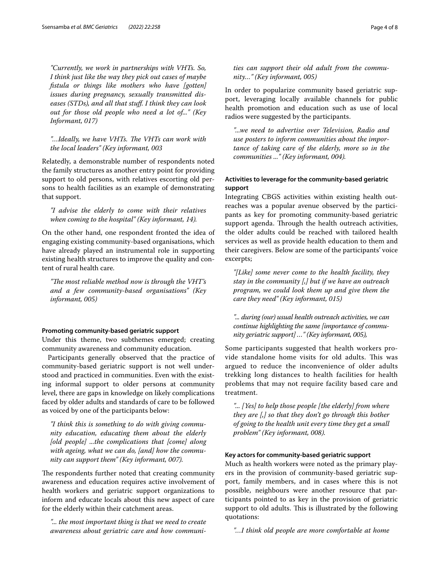*"Currently, we work in partnerships with VHTs. So, I think just like the way they pick out cases of maybe fstula or things like mothers who have [gotten] issues during pregnancy, sexually transmitted diseases (STDs), and all that stuf. I think they can look out for those old people who need a lot of..." (Key Informant, 017)*

#### "...Ideally, we have VHTs. The VHTs can work with *the local leaders" (Key informant, 003*

Relatedly, a demonstrable number of respondents noted the family structures as another entry point for providing support to old persons, with relatives escorting old persons to health facilities as an example of demonstrating that support.

#### *"I advise the elderly to come with their relatives when coming to the hospital" (Key informant, 14).*

On the other hand, one respondent fronted the idea of engaging existing community-based organisations, which have already played an instrumental role in supporting existing health structures to improve the quality and content of rural health care.

*"The most reliable method now is through the VHT's and a few community-based organisations" (Key informant, 005)*

#### **Promoting community‑based geriatric support**

Under this theme, two subthemes emerged; creating community awareness and community education.

Participants generally observed that the practice of community-based geriatric support is not well understood and practiced in communities. Even with the existing informal support to older persons at community level, there are gaps in knowledge on likely complications faced by older adults and standards of care to be followed as voiced by one of the participants below:

*"I think this is something to do with giving community education, educating them about the elderly [old people] ...the complications that [come] along with ageing, what we can do, [and] how the community can support them" (Key informant, 007).*

The respondents further noted that creating community awareness and education requires active involvement of health workers and geriatric support organizations to inform and educate locals about this new aspect of care for the elderly within their catchment areas.

*"... the most important thing is that we need to create awareness about geriatric care and how communi-*

#### *ties can support their old adult from the community…" (Key informant, 005)*

In order to popularize community based geriatric support, leveraging locally available channels for public health promotion and education such as use of local radios were suggested by the participants.

*"...we need to advertise over Television, Radio and use posters to inform communities about the importance of taking care of the elderly, more so in the communities ..." (Key informant, 004).*

#### **Activities to leverage for the community‑based geriatric support**

Integrating CBGS activities within existing health outreaches was a popular avenue observed by the participants as key for promoting community-based geriatric support agenda. Through the health outreach activities, the older adults could be reached with tailored health services as well as provide health education to them and their caregivers. Below are some of the participants' voice excerpts;

*"[Like] some never come to the health facility, they stay in the community [,] but if we have an outreach program, we could look them up and give them the care they need" (Key informant, 015)*

*"... during (our) usual health outreach activities, we can continue highlighting the same [importance of community geriatric support] …" (Key informant, 005),*

Some participants suggested that health workers provide standalone home visits for old adults. This was argued to reduce the inconvenience of older adults trekking long distances to health facilities for health problems that may not require facility based care and treatment.

*"... [Yes] to help those people [the elderly] from where they are [,] so that they don't go through this bother of going to the health unit every time they get a small problem" (Key informant, 008).*

#### **Key actors for community‑based geriatric support**

Much as health workers were noted as the primary players in the provision of community-based geriatric support, family members, and in cases where this is not possible, neighbours were another resource that participants pointed to as key in the provision of geriatric support to old adults. This is illustrated by the following quotations:

*"…I think old people are more comfortable at home*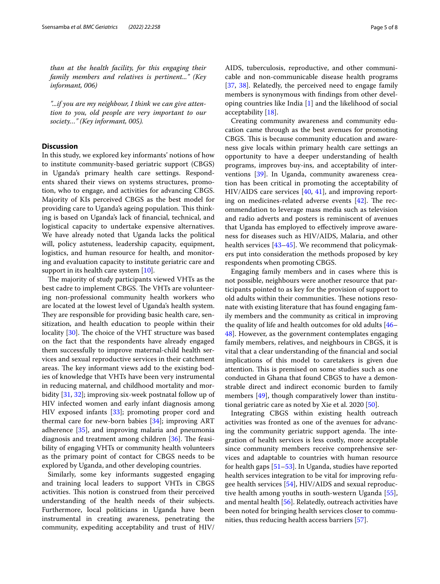*than at the health facility, for this engaging their family members and relatives is pertinent..." (Key informant, 006)*

*"...if you are my neighbour, I think we can give attention to you, old people are very important to our society…" (Key informant, 005).*

#### **Discussion**

In this study, we explored key informants' notions of how to institute community-based geriatric support (CBGS) in Uganda's primary health care settings. Respondents shared their views on systems structures, promotion, who to engage, and activities for advancing CBGS. Majority of KIs perceived CBGS as the best model for providing care to Uganda's ageing population. This thinking is based on Uganda's lack of fnancial, technical, and logistical capacity to undertake expensive alternatives. We have already noted that Uganda lacks the political will, policy astuteness, leadership capacity, equipment, logistics, and human resource for health, and monitoring and evaluation capacity to institute geriatric care and support in its health care system [\[10](#page-6-7)].

The majority of study participants viewed VHTs as the best cadre to implement CBGS. The VHTs are volunteering non-professional community health workers who are located at the lowest level of Uganda's health system. They are responsible for providing basic health care, sensitization, and health education to people within their locality  $[30]$  $[30]$ . The choice of the VHT structure was based on the fact that the respondents have already engaged them successfully to improve maternal-child health services and sexual reproductive services in their catchment areas. The key informant views add to the existing bodies of knowledge that VHTs have been very instrumental in reducing maternal, and childhood mortality and morbidity [[31,](#page-6-26) [32](#page-6-27)]; improving six-week postnatal follow up of HIV infected women and early infant diagnosis among HIV exposed infants [[33](#page-6-28)]; promoting proper cord and thermal care for new-born babies [\[34\]](#page-6-29); improving ART adherence [[35\]](#page-6-30), and improving malaria and pneumonia diagnosis and treatment among children  $[36]$  $[36]$ . The feasibility of engaging VHTs or community health volunteers as the primary point of contact for CBGS needs to be explored by Uganda, and other developing countries.

Similarly, some key informants suggested engaging and training local leaders to support VHTs in CBGS activities. This notion is construed from their perceived understanding of the health needs of their subjects. Furthermore, local politicians in Uganda have been instrumental in creating awareness, penetrating the community, expediting acceptability and trust of HIV/ AIDS, tuberculosis, reproductive, and other communicable and non-communicable disease health programs [[37,](#page-6-32) [38\]](#page-6-33). Relatedly, the perceived need to engage family members is synonymous with fndings from other developing countries like India [\[1](#page-6-0)] and the likelihood of social acceptability [[18](#page-6-14)].

Creating community awareness and community education came through as the best avenues for promoting CBGS. This is because community education and awareness give locals within primary health care settings an opportunity to have a deeper understanding of health programs, improves buy-ins, and acceptability of interventions [\[39](#page-6-34)]. In Uganda, community awareness creation has been critical in promoting the acceptability of HIV/AIDS care services [\[40](#page-6-35), [41\]](#page-6-36), and improving reporting on medicines-related adverse events  $[42]$  $[42]$ . The recommendation to leverage mass media such as television and radio adverts and posters is reminiscent of avenues that Uganda has employed to efectively improve awareness for diseases such as HIV/AIDS, Malaria, and other health services [\[43](#page-6-38)[–45\]](#page-6-39). We recommend that policymakers put into consideration the methods proposed by key respondents when promoting CBGS.

Engaging family members and in cases where this is not possible, neighbours were another resource that participants pointed to as key for the provision of support to old adults within their communities. These notions resonate with existing literature that has found engaging family members and the community as critical in improving the quality of life and health outcomes for old adults [[46–](#page-6-40) [48\]](#page-6-41). However, as the government contemplates engaging family members, relatives, and neighbours in CBGS, it is vital that a clear understanding of the fnancial and social implications of this model to caretakers is given due attention. This is premised on some studies such as one conducted in Ghana that found CBGS to have a demonstrable direct and indirect economic burden to family members [\[49](#page-6-42)], though comparatively lower than institutional geriatric care as noted by Xie et al. 2020 [\[50\]](#page-6-43).

Integrating CBGS within existing health outreach activities was fronted as one of the avenues for advancing the community geriatric support agenda. The integration of health services is less costly, more acceptable since community members receive comprehensive services and adaptable to countries with human resource for health gaps [\[51](#page-7-0)[–53](#page-7-1)]. In Uganda, studies have reported health services integration to be vital for improving refugee health services [\[54](#page-7-2)], HIV/AIDS and sexual reproductive health among youths in south-western Uganda [\[55](#page-7-3)], and mental health [[56\]](#page-7-4). Relatedly, outreach activities have been noted for bringing health services closer to communities, thus reducing health access barriers [\[57\]](#page-7-5).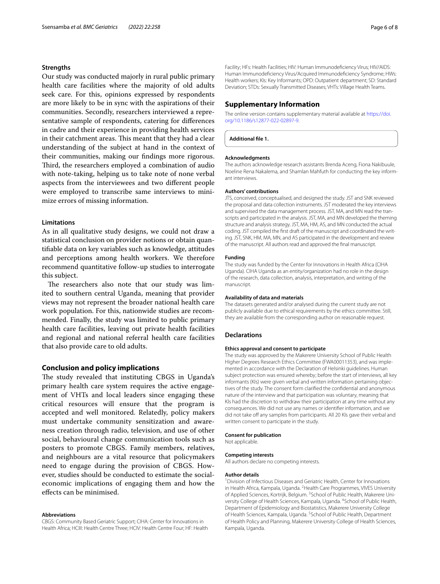#### **Strengths**

Our study was conducted majorly in rural public primary health care facilities where the majority of old adults seek care. For this, opinions expressed by respondents are more likely to be in sync with the aspirations of their communities. Secondly, researchers interviewed a representative sample of respondents, catering for diferences in cadre and their experience in providing health services in their catchment areas. This meant that they had a clear understanding of the subject at hand in the context of their communities, making our fndings more rigorous. Third, the researchers employed a combination of audio with note-taking, helping us to take note of none verbal aspects from the interviewees and two diferent people were employed to transcribe same interviews to minimize errors of missing information.

#### **Limitations**

As in all qualitative study designs, we could not draw a statistical conclusion on provider notions or obtain quantifable data on key variables such as knowledge, attitudes and perceptions among health workers. We therefore recommend quantitative follow-up studies to interrogate this subject.

The researchers also note that our study was limited to southern central Uganda, meaning that provider views may not represent the broader national health care work population. For this, nationwide studies are recommended. Finally, the study was limited to public primary health care facilities, leaving out private health facilities and regional and national referral health care facilities that also provide care to old adults.

#### **Conclusion and policy implications**

The study revealed that instituting CBGS in Uganda's primary health care system requires the active engagement of VHTs and local leaders since engaging these critical resources will ensure that the program is accepted and well monitored. Relatedly, policy makers must undertake community sensitization and awareness creation through radio, television, and use of other social, behavioural change communication tools such as posters to promote CBGS. Family members, relatives, and neighbours are a vital resource that policymakers need to engage during the provision of CBGS. However, studies should be conducted to estimate the socialeconomic implications of engaging them and how the efects can be minimised.

#### **Abbreviations**

CBGS: Community Based Geriatric Support; CIHA: Center for Innovations in Health Africa; HCIII: Health Centre Three; HCIV: Health Centre Four; HF: Health Facility; HFs: Health Facilities; HIV: Human Immunodefciency Virus; HIV/AIDS: Human Immunodefciency Virus/Acquired Immunodefciency Syndrome; HWs: Health workers; KIs: Key Informants; OPD: Outpatient department; SD: Standard Deviation; STDs: Sexually Transmitted Diseases; VHTs: Village Health Teams.

#### **Supplementary Information**

The online version contains supplementary material available at [https://doi.](https://doi.org/10.1186/s12877-022-02897-9) [org/10.1186/s12877-022-02897-9](https://doi.org/10.1186/s12877-022-02897-9).

**Additional fle 1.**

#### **Acknowledgments**

The authors acknowledge research assistants Brenda Aceng, Fiona Nakibuule, Noeline Rena Nakalema, and Shamlan Mahfuth for conducting the key informant interviews.

#### **Authors' contributions**

JTS, conceived, conceptualised, and designed the study. JST and SNK reviewed the proposal and data collection instruments. JST moderated the key interviews and supervised the data management process. JST, MA, and MN read the transcripts and participated in the analysis. JST, MA, and MN developed the theming structure and analysis strategy. JST, MA, HM, AS, and MN conducted the actual coding. JST compiled the frst draft of the manuscript and coordinated the writing. JST, SNK, HM, MA, MN, and AS participated in the development and review of the manuscript. All authors read and approved the fnal manuscript.

#### **Funding**

The study was funded by the Center for Innovations in Health Africa (CIHA Uganda). CIHA Uganda as an entity/organization had no role in the design of the research, data collection, analysis, interpretation, and writing of the manuscript.

#### **Availability of data and materials**

The datasets generated and/or analysed during the current study are not publicly available due to ethical requirements by the ethics committee. Still, they are available from the corresponding author on reasonable request.

#### **Declarations**

#### **Ethics approval and consent to participate**

The study was approved by the Makerere University School of Public Health Higher Degrees Research Ethics Committee (FWA00011353), and was implemented in accordance with the Declaration of Helsinki guidelines. Human subject protection was ensured whereby; before the start of interviews, all key informants (KIs) were given verbal and written information pertaining objectives of the study. The consent form clarifed the confdential and anonymous nature of the interview and that participation was voluntary, meaning that KIs had the discretion to withdraw their participation at any time without any consequences. We did not use any names or identifer information, and we did not take off any samples from participants. All 20 KIs gave their verbal and written consent to participate in the study.

#### **Consent for publication**

Not applicable.

#### **Competing interests**

All authors declare no competing interests.

#### **Author details**

<sup>1</sup> Division of Infectious Diseases and Geriatric Health, Center for Innovations in Health Africa, Kampala, Uganda. <sup>2</sup> Health Care Programmes, VIVES University of Applied Sciences, Kortrijk, Belgium. <sup>3</sup> School of Public Health, Makerere University College of Health Sciences, Kampala, Uganda. <sup>4</sup>School of Public Health, Department of Epidemiology and Biostatistics, Makerere University College of Health Sciences, Kampala, Uganda. <sup>5</sup>School of Public Health, Department of Health Policy and Planning, Makerere University College of Health Sciences, Kampala, Uganda.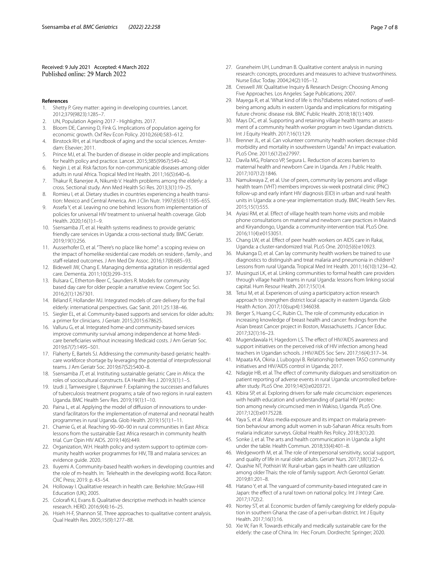# Received: 9 July 2021 Accepted: 4 March 2022<br>Published online: 29 March 2022

#### **References**

- <span id="page-6-0"></span>Shetty P. Grey matter: ageing in developing countries. Lancet. 2012;379(9823):1285–7.
- <span id="page-6-1"></span>2. UN, Population Ageing 2017 - Highlights. 2017.
- <span id="page-6-2"></span>3. Bloom DE, Canning D, Fink G. Implications of population ageing for economic growth. Oxf Rev Econ Policy. 2010;26(4):583–612.
- <span id="page-6-3"></span>4. Binstock RH, et al. Handbook of aging and the social sciences. Amsterdam: Elsevier; 2011.
- <span id="page-6-4"></span>5. Prince MJ, et al. The burden of disease in older people and implications for health policy and practice. Lancet. 2015;385(9967):549–62.
- 6. Negin J, et al. Risk factors for non-communicable diseases among older adults in rural Africa. Tropical Med Int Health. 2011;16(5):640–6.
- 7. Thakur R, Banerjee A, Nikumb V. Health problems among the elderly: a cross. Sectional study. Ann Med Health Sci Res. 2013;3(1):19–25.
- <span id="page-6-5"></span>8. Romieu I, et al. Dietary studies in countries experiencing a health transition: Mexico and Central America. Am J Clin Nutr. 1997;65(4):1159S–65S.
- <span id="page-6-6"></span>9. Assefa Y, et al. Leaving no one behind: lessons from implementation of policies for universal HIV treatment to universal health coverage. Glob Health. 2020;16(1):1–9.
- <span id="page-6-7"></span>10. Ssensamba JT, et al. Health systems readiness to provide geriatric friendly care services in Uganda: a cross-sectional study. BMC Geriatr. 2019;19(1):256.
- <span id="page-6-8"></span>11. Ausserhofer D, et al. "There's no place like home": a scoping review on the impact of homelike residential care models on resident-, family-, and staff-related outcomes. J Am Med Dir Assoc. 2016;17(8):685-93.
- <span id="page-6-9"></span>12. Bidewell JW, Chang E. Managing dementia agitation in residential aged care. Dementia. 2011;10(3):299–315.
- <span id="page-6-10"></span>13. Bulsara C, Etherton-Beer C, Saunders R. Models for community based day care for older people: a narrative review. Cogent Soc Sci. 2016;2(1):1267301.
- 14. Béland F, Hollander MJ. Integrated models of care delivery for the frail elderly: international perspectives. Gac Sanit. 2011;25:138–46.
- <span id="page-6-11"></span>15. Siegler EL, et al. Community-based supports and services for older adults: a primer for clinicians. J Geriatr. 2015;2015:678625.
- <span id="page-6-12"></span>16. Valluru G, et al. Integrated home-and community-based services improve community survival among independence at home Medicare benefciaries without increasing Medicaid costs. J Am Geriatr Soc. 2019;67(7):1495–501.
- <span id="page-6-13"></span>17. Flaherty E, Bartels SJ. Addressing the community-based geriatric healthcare workforce shortage by leveraging the potential of interprofessional teams. J Am Geriatr Soc. 2019;67(S2):S400–8.
- <span id="page-6-14"></span>18. Ssensamba JT, et al. Instituting sustainable geriatric Care in Africa: the roles of sociocultural constructs. EA Health Res J. 2019;3(1):1–5.
- <span id="page-6-15"></span>19. Izudi J, Tamwesigire I, Bajunirwe F. Explaining the successes and failures of tuberculosis treatment programs; a tale of two regions in rural eastern Uganda. BMC Health Serv Res. 2019;19(1):1–10.
- 20. Paina L, et al. Applying the model of diffusion of innovations to understand facilitators for the implementation of maternal and neonatal health programmes in rural Uganda. Glob Health. 2019;15(1):1–11.
- <span id="page-6-16"></span>21. Chamie G, et al. Reaching 90–90–90 in rural communities in East Africa: lessons from the sustainable East Africa research in community health trial. Curr Opin HIV AIDS. 2019;14(6):449.
- <span id="page-6-17"></span>22. Organization, W.H. Health policy and system support to optimize community health worker programmes for HIV, TB and malaria services: an evidence guide*.* 2020.
- <span id="page-6-18"></span>23. Iluyemi A. Community-based health workers in developing countries and the role of m-health. In: Telehealth in the developing world. Boca Raton: CRC Press; 2019. p. 43–54.
- <span id="page-6-19"></span>24. Holloway I. Qualitative research in health care. Berkshire: McGraw-Hill Education (UK); 2005.
- <span id="page-6-20"></span>25. Coloraf KJ, Evans B. Qualitative descriptive methods in health science research. HERD. 2016;9(4):16–25.
- <span id="page-6-21"></span>26. Hsieh H-F, Shannon SE. Three approaches to qualitative content analysis. Qual Health Res. 2005;15(9):1277–88.
- <span id="page-6-22"></span>27. Graneheim UH, Lundman B. Qualitative content analysis in nursing research: concepts, procedures and measures to achieve trustworthiness. Nurse Educ Today. 2004;24(2):105–12.
- <span id="page-6-23"></span>28. Creswell JW. Qualitative Inquiry & Research Design: Choosing Among Five Approaches. Los Angeles: Sage Publications; 2007.
- <span id="page-6-24"></span>29. Mayega R, et al. 'What kind of life is this?'diabetes related notions of wellbeing among adults in eastern Uganda and implications for mitigating future chronic disease risk. BMC Public Health. 2018;18(1):1409.
- <span id="page-6-25"></span>30. Mays DC, et al. Supporting and retaining village health teams: an assessment of a community health worker program in two Ugandan districts. Int J Equity Health. 2017;16(1):129.
- <span id="page-6-26"></span>31. Brenner JL, et al. Can volunteer community health workers decrease child morbidity and mortality in southwestern Uganda? An impact evaluation. PLoS One. 2011;6(12):e27997.
- <span id="page-6-27"></span>32. Davila MG, Polanco VP, Segura L. Reduction of access barriers to maternal health and newborn Care in Uganda. Am J Public Health. 2017;107(12):1846.
- <span id="page-6-28"></span>33. Namukwaya Z, et al. Use of peers, community lay persons and village health team (VHT) members improves six-week postnatal clinic (PNC) follow-up and early infant HIV diagnosis (EID) in urban and rural health units in Uganda: a one-year implementation study. BMC Health Serv Res. 2015;15(1):555.
- <span id="page-6-29"></span>34. Ayiasi RM, et al. Efect of village health team home visits and mobile phone consultations on maternal and newborn care practices in Masindi and Kiryandongo, Uganda: a community-intervention trial. PLoS One. 2016;11(4):e0153051.
- <span id="page-6-30"></span>35. Chang LW, et al. Efect of peer health workers on AIDS care in Rakai, Uganda: a cluster-randomized trial. PLoS One. 2010;5(6):e10923.
- <span id="page-6-31"></span>36. Mukanga D, et al. Can lay community health workers be trained to use diagnostics to distinguish and treat malaria and pneumonia in children? Lessons from rural Uganda. Tropical Med Int Health. 2011;16(10):1234–42.
- <span id="page-6-32"></span>37. Musinguzi LK, et al. Linking communities to formal health care providers through village health teams in rural Uganda: lessons from linking social capital. Hum Resour Health. 2017;15(1):4.
- <span id="page-6-33"></span>38. Tetui M, et al. Experiences of using a participatory action research approach to strengthen district local capacity in eastern Uganda. Glob Health Action. 2017;10(sup4):1346038.
- <span id="page-6-34"></span>39. Berger S, Huang C-C, Rubin CL. The role of community education in increasing knowledge of breast health and cancer: fndings from the Asian breast Cancer project in Boston, Massachusetts. J Cancer Educ. 2017;32(1):16–23.
- <span id="page-6-35"></span>40. Mugendawala H, Hagedorn LS. The effect of HIV/AIDS awareness and support initiatives on the perceived risk of HIV infection among head teachers in Ugandan schools. J HIV/AIDS Soc Serv. 2017;16(4):317–34.
- <span id="page-6-36"></span>41. Mpaata KA, Okiria J, Lubogoyi B. Relationship between TASO community initiatives and HIV/AIDS control in Uganda; 2017.
- <span id="page-6-37"></span>42. Ndagije HB, et al. The effect of community dialogues and sensitization on patient reporting of adverse events in rural Uganda: uncontrolled beforeafter study. PLoS One. 2019;14(5):e0203721.
- <span id="page-6-38"></span>43. Kibira SP, et al. Exploring drivers for safe male circumcision: experiences with health education and understanding of partial HIV protection among newly circumcised men in Wakiso, Uganda. PLoS One. 2017;12(3):e0175228.
- 44. Yaya S, et al. Mass media exposure and its impact on malaria prevention behaviour among adult women in sub-Saharan Africa: results from malaria indicator surveys. Global Health Res Policy. 2018;3(1):20.
- <span id="page-6-39"></span>45. Sonke J, et al. The arts and health communication in Uganda: a light under the table. Health Commun. 2018;33(4):401–8.
- <span id="page-6-40"></span>46. Wedgeworth M, et al. The role of interpersonal sensitivity, social support, and quality of life in rural older adults. Geriatr Nurs. 2017;38(1):22–6.
- 47. Quashie NT, Pothisiri W. Rural-urban gaps in health care utilization among older Thais: the role of family support. Arch Gerontol Geriatr. 2019;81:201–8.
- <span id="page-6-41"></span>48. Hatano Y, et al. The vanguard of community-based integrated care in Japan: the effect of a rural town on national policy. Int J Integr Care. 2017;17(2):2.
- <span id="page-6-42"></span>49. Nortey ST, et al. Economic burden of family caregiving for elderly population in southern Ghana: the case of a peri-urban district. Int J Equity Health. 2017;16(1):16.
- <span id="page-6-43"></span>50. Xie W, Fan R. Towards ethically and medically sustainable care for the elderly: the case of China. In: Hec Forum. Dordrecht: Springer; 2020.